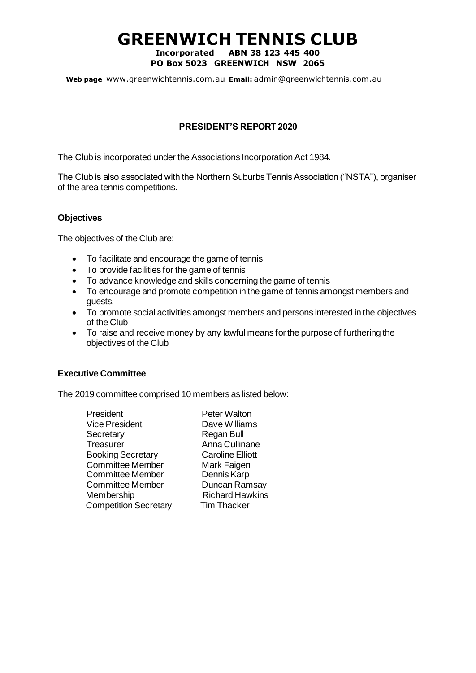# **GREENWICH TENNIS CLUB**

#### **Incorporated ABN 38 123 445 400 PO Box 5023 GREENWICH NSW 2065**

**Web page** [www.greenwichtennis.com.au](http://www.greenwichtennis.com.au/) **Email:** admin@greenwichtennis.com.au

### **PRESIDENT'S REPORT 2020**

The Club is incorporated under the Associations Incorporation Act 1984.

The Club is also associated with the Northern Suburbs Tennis Association ("NSTA"), organiser of the area tennis competitions.

### **Objectives**

The objectives of the Club are:

- To facilitate and encourage the game of tennis
- To provide facilities for the game of tennis
- To advance knowledge and skills concerning the game of tennis
- To encourage and promote competition in the game of tennis amongst members and guests.
- To promote social activities amongst members and persons interested in the objectives of the Club
- To raise and receive money by any lawful means for the purpose of furthering the objectives of the Club

### **Executive Committee**

The 2019 committee comprised 10 members as listed below:

| President                    |
|------------------------------|
| <b>Vice President</b>        |
| Secretary                    |
| Treasurer                    |
| <b>Booking Secretary</b>     |
| <b>Committee Member</b>      |
| <b>Committee Member</b>      |
| <b>Committee Member</b>      |
| Membership                   |
| <b>Competition Secretary</b> |

Peter Walton Dave Williams Regan Bull Anna Cullinane **Caroline Elliott** Mark Faigen Dennis Karp Duncan Ramsay **Richard Hawkins Tim Thacker**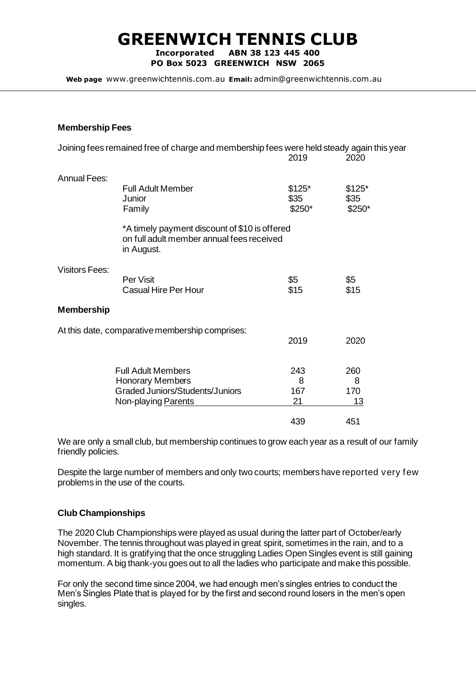## **GREENWICH TENNIS CLUB**

**Incorporated ABN 38 123 445 400 PO Box 5023 GREENWICH NSW 2065**

**Web page** [www.greenwichtennis.com.au](http://www.greenwichtennis.com.au/) **Email:** admin@greenwichtennis.com.au

### **Membership Fees**

|                                                 | Joining fees remained free of charge and membership fees were held steady again this year                             | 2019                      | 2020                      |
|-------------------------------------------------|-----------------------------------------------------------------------------------------------------------------------|---------------------------|---------------------------|
| <b>Annual Fees:</b>                             | <b>Full Adult Member</b><br>Junior<br>Family                                                                          | $$125*$<br>\$35<br>\$250* | $$125*$<br>\$35<br>\$250* |
|                                                 | *A timely payment discount of \$10 is offered<br>on full adult member annual fees received<br>in August.              |                           |                           |
| <b>Visitors Fees:</b>                           | Per Visit<br><b>Casual Hire Per Hour</b>                                                                              | \$5<br>\$15               | \$5<br>\$15               |
| <b>Membership</b>                               |                                                                                                                       |                           |                           |
| At this date, comparative membership comprises: |                                                                                                                       | 2019                      | 2020                      |
|                                                 | <b>Full Adult Members</b><br><b>Honorary Members</b><br><b>Graded Juniors/Students/Juniors</b><br>Non-playing Parents | 243<br>8<br>167<br>21     | 260<br>8<br>170<br>13     |
|                                                 |                                                                                                                       | 439                       | 451                       |

We are only a small club, but membership continues to grow each year as a result of our family friendly policies.

Despite the large number of members and only two courts; members have reported very few problems in the use of the courts.

### **Club Championships**

The 2020 Club Championships were played as usual during the latter part of October/early November. The tennis throughout was played in great spirit, sometimes in the rain, and to a high standard. It is gratifying that the once struggling Ladies Open Singles event is still gaining momentum. A big thank-you goes out to all the ladies who participate and make this possible.

For only the second time since 2004, we had enough men's singles entries to conduct the Men's Singles Plate that is played for by the first and second round losers in the men's open singles.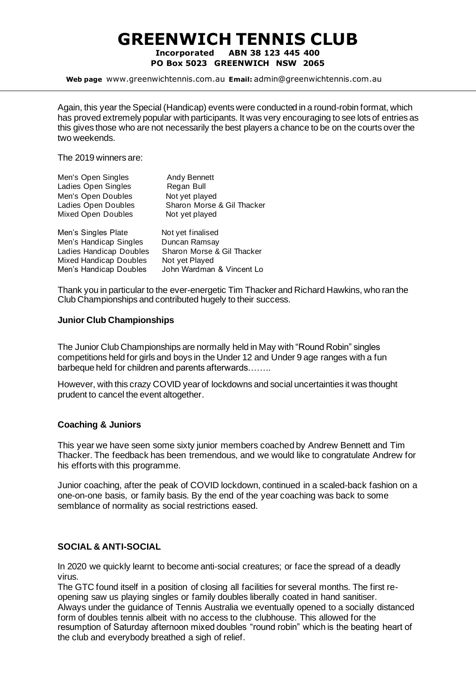### **GREENWICH TENNIS CLUB Incorporated ABN 38 123 445 400**

**PO Box 5023 GREENWICH NSW 2065**

**Web page** [www.greenwichtennis.com.au](http://www.greenwichtennis.com.au/) **Email:** admin@greenwichtennis.com.au

Again, this year the Special (Handicap) events were conducted in a round-robin format, which has proved extremely popular with participants. It was very encouraging to see lots of entries as this gives those who are not necessarily the best players a chance to be on the courts over the two weekends.

The 2019 winners are:

| Men's Open Singles      | <b>Andy Bennett</b>        |
|-------------------------|----------------------------|
| Ladies Open Singles     | Regan Bull                 |
| Men's Open Doubles      | Not yet played             |
| Ladies Open Doubles     | Sharon Morse & Gil Thacker |
| Mixed Open Doubles      | Not yet played             |
| Men's Singles Plate     | Not yet finalised          |
| Men's Handicap Singles  | Duncan Ramsay              |
| Ladies Handicap Doubles | Sharon Morse & Gil Thacker |

Men's Handicap Doubles John Wardman & Vincent Lo

Thank you in particular to the ever-energetic Tim Thacker and Richard Hawkins, who ran the Club Championships and contributed hugely to their success.

### **Junior Club Championships**

Mixed Handicap Doubles Not yet Played

The Junior Club Championships are normally held in May with "Round Robin" singles competitions held for girls and boys in the Under 12 and Under 9 age ranges with a fun barbeque held for children and parents afterwards……..

However, with this crazy COVID year of lockdowns and social uncertainties it was thought prudent to cancel the event altogether.

### **Coaching & Juniors**

This year we have seen some sixty junior members coached by Andrew Bennett and Tim Thacker. The feedback has been tremendous, and we would like to congratulate Andrew for his efforts with this programme.

Junior coaching, after the peak of COVID lockdown, continued in a scaled-back fashion on a one-on-one basis, or family basis. By the end of the year coaching was back to some semblance of normality as social restrictions eased.

### **SOCIAL & ANTI-SOCIAL**

In 2020 we quickly learnt to become anti-social creatures; or face the spread of a deadly virus.

The GTC found itself in a position of closing all facilities for several months. The first reopening saw us playing singles or family doubles liberally coated in hand sanitiser. Always under the guidance of Tennis Australia we eventually opened to a socially distanced form of doubles tennis albeit with no access to the clubhouse. This allowed for the resumption of Saturday afternoon mixed doubles "round robin" which is the beating heart of the club and everybody breathed a sigh of relief.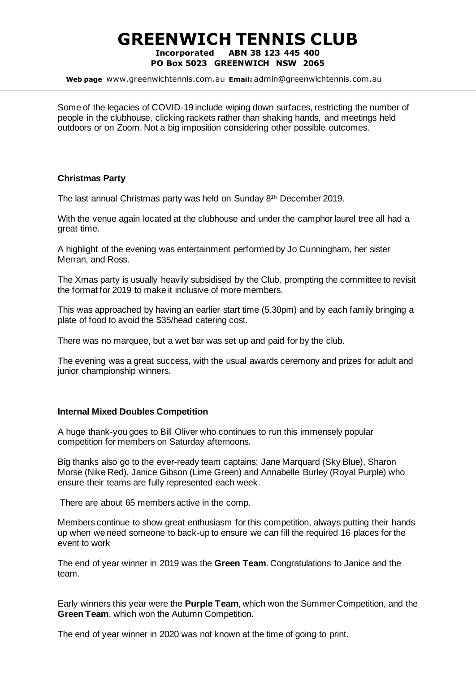### **GREENWICH TENNIS CLUB Incorporated ABN 38 123 445 400 PO Box 5023 GREENWICH NSW 2065**

**Web page** [www.greenwichtennis.com.au](http://www.greenwichtennis.com.au/) **Email:** admin@greenwichtennis.com.au

Some of the legacies of COVID-19 include wiping down surfaces, restricting the number of people in the clubhouse, clicking rackets rather than shaking hands, and meetings held outdoors or on Zoom. Not a big imposition considering other possible outcomes.

### **Christmas Party**

The last annual Christmas party was held on Sunday 8 1h December 2019.

With the venue again located at the clubhouse and under the camphor laurel tree all had a great time.

A highlight of the evening was entertainment performed by Jo Cunningham, her sister Merran, and Ross.

The Xmas party is usually heavily subsidised by the Club, prompting the committee to revisit the format for 2019 to make it inclusive of more members.

This was approached by having an earlier start time (5.30pm) and by each family bringing a plate of food to avoid the \$35/head catering cost.

There was no marquee, but a wet bar was set up and paid for by the club.

The evening was a great success, with the usual awards ceremony and prizes for adult and junior championship winners.

### **Internal Mixed Doubles Competition**

A huge thank-you goes to Bill Oliver who continues to run this immensely popular competition for members on Saturday afternoons.

Big thanks also go to the ever-ready team captains; Jane Marquard (Sky Blue), Sharon Morse (Nike Red), Janice Gibson (Lime Green) and Annabelle Burley (Royal Purple) who ensure their teams are fully represented each week.

There are about 65 members active in the comp.

Members continue to show great enthusiasm for this competition, always putting their hands up when we need someone to back-up to ensure we can fill the required 16 places for the event to work

The end of year winner in 2019 was the **Green Team**. Congratulations to Janice and the team.

Early winners this year were the **Purple Team**, which won the Summer Competition, and the **Green Team**, which won the Autumn Competition.

The end of year winner in 2020 was not known at the time of going to print.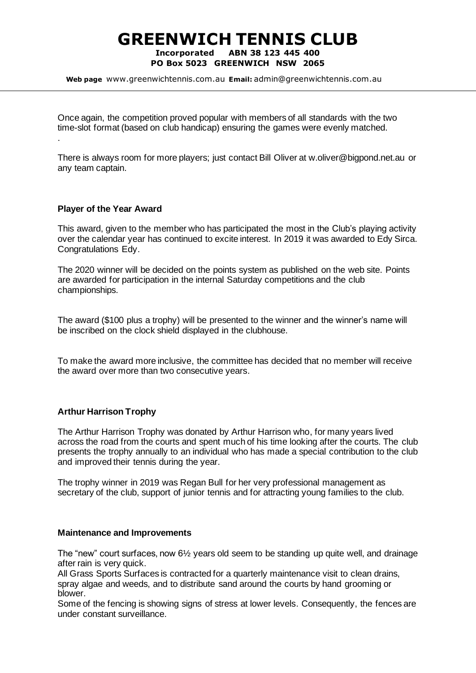### **GREENWICH TENNIS CLUB Incorporated ABN 38 123 445 400 PO Box 5023 GREENWICH NSW 2065**

**Web page** [www.greenwichtennis.com.au](http://www.greenwichtennis.com.au/) **Email:** admin@greenwichtennis.com.au

Once again, the competition proved popular with members of all standards with the two time-slot format (based on club handicap) ensuring the games were evenly matched. .

There is always room for more players; just contact Bill Oliver a[t w.oliver@bigpond.net.au](mailto:w.oliver@bigpond.net.au) or any team captain.

### **Player of the Year Award**

This award, given to the member who has participated the most in the Club's playing activity over the calendar year has continued to excite interest. In 2019 it was awarded to Edy Sirca. Congratulations Edy.

The 2020 winner will be decided on the points system as published on the web site. Points are awarded for participation in the internal Saturday competitions and the club championships.

The award (\$100 plus a trophy) will be presented to the winner and the winner's name will be inscribed on the clock shield displayed in the clubhouse.

To make the award more inclusive, the committee has decided that no member will receive the award over more than two consecutive years.

#### **Arthur Harrison Trophy**

The Arthur Harrison Trophy was donated by Arthur Harrison who, for many years lived across the road from the courts and spent much of his time looking after the courts. The club presents the trophy annually to an individual who has made a special contribution to the club and improved their tennis during the year.

The trophy winner in 2019 was Regan Bull for her very professional management as secretary of the club, support of junior tennis and for attracting young families to the club.

#### **Maintenance and Improvements**

The "new" court surfaces, now  $6\frac{1}{2}$  years old seem to be standing up quite well, and drainage after rain is very quick.

All Grass Sports Surfaces is contracted for a quarterly maintenance visit to clean drains, spray algae and weeds, and to distribute sand around the courts by hand grooming or blower.

Some of the fencing is showing signs of stress at lower levels. Consequently, the fences are under constant surveillance.